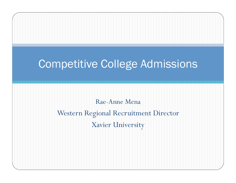## Competitive College Admissions

Rae-Anne Mena Western Regional Recruitment Director Xavier University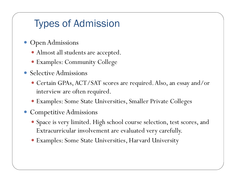### Types of Admission

- **Open Admissions** 
	- Almost all students are accepted.
	- Examples: Community College
- Selective Admissions
	- Certain GPAs, ACT/SAT scores are required. Also, an essay and/or interview are often required.
	- Examples: Some State Universities, Smaller Private Colleges
- Competitive Admissions
	- Space is very limited. High school course selection, test scores, and Extracurricular involvement are evaluated very carefully.
	- Examples: Some State Universities, Harvard University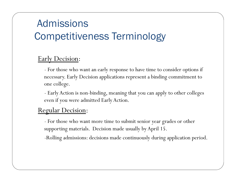## Admissions Competitiveness Terminology

### Early Decision:

- For those who want an early response to have time to consider options if necessary. Early Decision applications represent a binding commitment to one college.
- Early Action is non-binding, meaning that you can apply to other colleges even if you were admitted Early Action.

#### Regular Decision:

- For those who want more time to submit senior year grades or other supporting materials. Decision made usually by April 15.

-Rolling admissions: decisions made continuously during application period.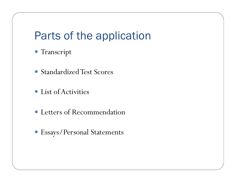# Parts of the application

- Transcript
- Standardized Test Scores
- List of Activities
- Letters of Recommendation
- Essays/Personal Statements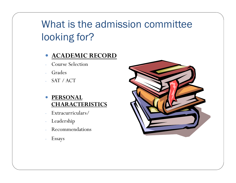# What is the admission committee looking for?

#### **ACADEMIC RECORD**

- Course Selection
- **Grades**
- SAT / ACT

#### **• PERSONAL CHARACTERISTICS**

- Extracurriculars/
- Leadership
- Recommendations
- Essays

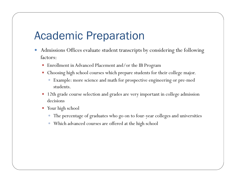## Academic Preparation

- Admissions Offices evaluate student transcripts by considering the following factors:
	- Enrollment in Advanced Placement and/or the IB Program
	- Choosing high school courses which prepare students for their college major.
		- Example: more science and math for prospective engineering or pre-med students.
	- 12th grade course selection and grades are very important in college admission decisions
	- Your high school
		- The percentage of graduates who go on to four-year colleges and universities
		- Which advanced courses are offered at the high school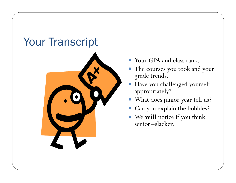# Your Transcript



- Your GPA and class rank.
- The courses you took and your grade trends.
- Have you challenged yourself appropriately?
- What does junior year tell us?
- Can you explain the bobbles?
- We **will** notice if you think senior=slacker.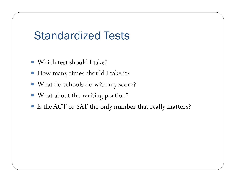## Standardized Tests

- Which test should I take?
- How many times should I take it?
- What do schools do with my score?
- What about the writing portion?
- Is the ACT or SAT the only number that really matters?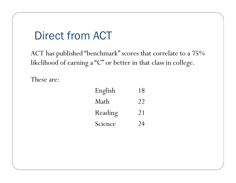## Direct from ACT

ACT has published "benchmark" scores that correlate to a 75% likelihood of earning a "C" or better in that class in college.

These are:

| English | 18 |
|---------|----|
| Math    | 22 |
| Reading | 21 |
| Science | 24 |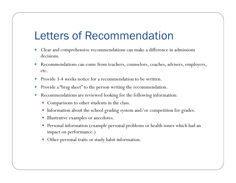## Letters of Recommendation

- Clear and comprehensive recommendations can make a difference in admissions decisions.
- Recommendations can come from teachers, counselors, coaches, advisers, employers, etc.
- Provide 3-4 weeks notice for a recommendation to be written.
- Provide a "brag sheet" to the person writing the recommendation.
- Recommendations are reviewed looking for the following information:
	- Comparisons to other students in the class.
	- Information about the school grading system and/or competition for grades.
	- Illustrative examples or anecdotes.
	- Personal information (example personal problems or health issues which had an impact on performance.)
	- Other personal traits or study habit information.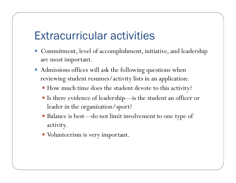## Extracurricular activities

- Commitment, level of accomplishment, initiative, and leadership are most important.
- Admissions offices will ask the following questions when reviewing student resumes/activity lists in an application:
	- How much time does the student devote to this activity?
	- Is there evidence of leadership—is the student an officer or leader in the organization/sport?
	- Balance is best—do not limit involvement to one type of activity.
	- Volunteerism is very important.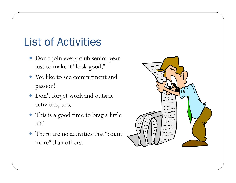# List of Activities

- Don't join every club senior year just to make it "look good."
- We like to see commitment and passion!
- Don't forget work and outside activities, too.
- This is a good time to brag a little bit!
- There are no activities that "count more" than others.

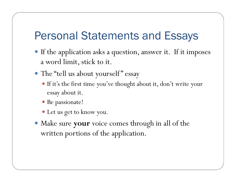## Personal Statements and Essays

- If the application asks a question, answer it. If it imposes a word limit, stick to it.
- The "tell us about yourself" essay
	- If it's the first time you've thought about it, don't write your essay about it.
	- Be passionate!
	- Let us get to know you.
- Make sure **your** voice comes through in all of the written portions of the application.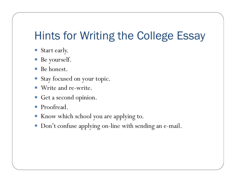# Hints for Writing the College Essay

- Start early.
- Be yourself.
- Be honest.
- Stay focused on your topic.
- Write and re-write.
- Get a second opinion.
- Proofread.
- Know which school you are applying to.
- Don't confuse applying on-line with sending an e-mail.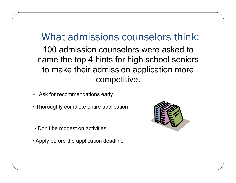### What admissions counselors think:

100 admission counselors were asked to name the top 4 hints for high school seniors to make their admission application more competitive.

- Ask for recommendations early
- Thoroughly complete entire application
- Don't be modest on activities
- Apply before the application deadline